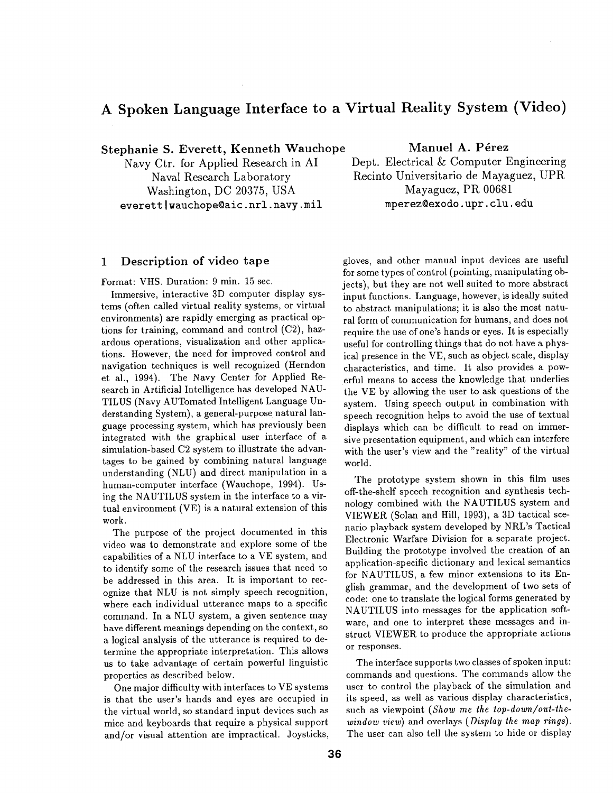## **A Spoken Language Interface to a Virtual Reality System (Video)**

**Stephanie S. Everett, Kenneth Wauchope** 

Navy Ctr. for Applied Research in AI Naval Research Laboratory Washington, DC 20375, USA everett wauchope@aic.nrl.navy.mil

## 1 Description of **video tape**

Format: VHS. Duration: 9 min. 15 sec.

Immersive, interactive 3D computer display systems (often called virtual reality systems, or virtual environments) are rapidly emerging as practical options for training, command and control (C2), hazardous operations, visualization and other applications. However, the need for improved control and navigation techniques is well recognized (Herndon et al., 1994). The Navy Center for Applied Research in Artificial Intelligence has developed NAU-TILUS (Navy AUTomated Intelligent Language Understanding System), a general-purpose natural language processing system, which has previously been integrated with the graphical user interface of a simulation-based C2 system to illustrate the advantages to be gained by combining natural language understanding (NLU) and direct manipulation in a human-computer interface (Wauchope, 1994). Using the NAUTILUS system in the interface to a virtual environment (VE) is a natural extension of this work.

The purpose of the project documented in this video was to demonstrate and explore some of the capabilities of a NLU interface to a VE system, and to identify some of the research issues that need to be addressed in this area. It is important to recognize that NLU is not simply speech recognition, where each individual utterance maps to a specific command. In a NLU system, a given sentence may have different meanings depending on the context, so a logical analysis of the utterance is required to determine the appropriate interpretation. This allows us to take advantage of certain powerful linguistic properties as described below.

One major difficulty with interfaces to VE systems is that the user's hands and eyes are occupied in the virtual world, so standard input devices such as mice and keyboards that require a physical support and/or visual attention are impractical. Joysticks,

**Manuel A. Pérez** 

Dept. Electrical & Computer Engineering Recinto Universitario de Mayaguez, UPR Mayaguez, PR 00681 mperez©exodo, upr. clu. edu

gloves, and other manual input devices are useful for some types of control (pointing, manipulating objects), but they are not well suited to more abstract input functions. Language, however, is ideally suited to abstract manipulations; it is also the most natural form of communication for humans, and does not require the use of one's hands or eyes. It is especially useful for controlling things that do not have a physical presence in the VE, such as object scale, display characteristics, and time. It also provides a powerful means to access the knowledge that underlies the VE by allowing the user to ask questions of the system. Using speech output in combination with speech recognition helps to avoid the use of textual displays which can be difficult to read on immersire presentation equipment, and which can interfere with the user's view and the "reality" of the virtual world.

The prototype system shown in this film uses off-the-shelf speech recognition and synthesis technology combined with the NAUTILUS system and VIEWER (Solan and Hill, 1993), a 3D tactical scenario playback system developed by NRL's Tactical Electronic Warfare Division for a separate project. Building the prototype involved the creation of an application-specific dictionary and lexical semantics for NAUTILUS, a few minor extensions to its English grammar, and the development of two sets of code: one to translate the logical forms generated by NAUTILUS into messages for the application software, and one to interpret these messages and instruct VIEWER to produce the appropriate actions or responses.

The interface supports two classes of spoken input: commands and questions. The commands allow the user to control the playback of the simulation and its speed, as well as various display characteristics, such as viewpoint (Show me the top-down/out-the*window view)* and overlays *(Display the map rings).*  The user can also tell the system to hide or display